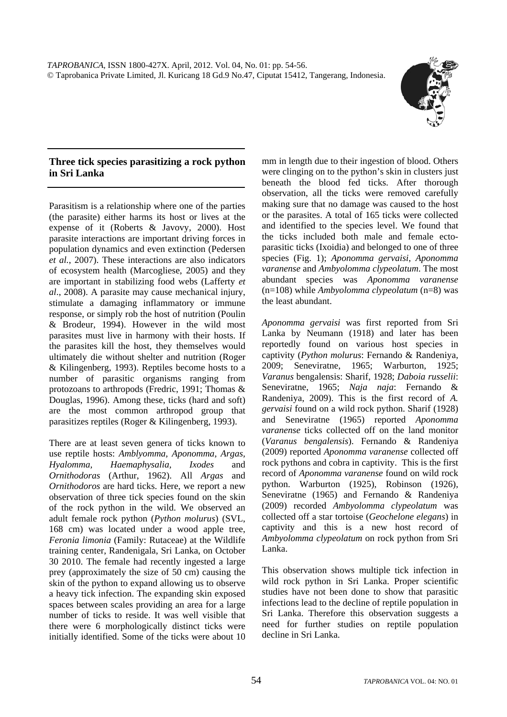

## **Three tick species parasitizing a rock python in Sri Lanka**

Parasitism is a relationship where one of the parties (the parasite) either harms its host or lives at the expense of it (Roberts & Javovy, 2000). Host parasite interactions are important driving forces in population dynamics and even extinction (Pedersen *et al.*, 2007). These interactions are also indicators of ecosystem health (Marcogliese, 2005) and they are important in stabilizing food webs (Lafferty *et al*., 2008). A parasite may cause mechanical injury, stimulate a damaging inflammatory or immune response, or simply rob the host of nutrition (Poulin & Brodeur, 1994). However in the wild most parasites must live in harmony with their hosts. If the parasites kill the host, they themselves would ultimately die without shelter and nutrition (Roger & Kilingenberg, 1993). Reptiles become hosts to a number of parasitic organisms ranging from protozoans to arthropods (Fredric, 1991; Thomas & Douglas, 1996). Among these, ticks (hard and soft) are the most common arthropod group that parasitizes reptiles (Roger & Kilingenberg, 1993).

There are at least seven genera of ticks known to use reptile hosts: *Amblyomma, Aponomma, Argas, Hyalomma, Haemaphysalia, Ixodes* and *Ornithodoras* (Arthur, 1962). All *Argas* and *Ornithodoros* are hard ticks. Here, we report a new observation of three tick species found on the skin of the rock python in the wild. We observed an adult female rock python (*Python molurus*) (SVL, 168 cm) was located under a wood apple tree, *Feronia limonia* (Family: Rutaceae) at the Wildlife training center, Randenigala, Sri Lanka, on October 30 2010. The female had recently ingested a large prey (approximately the size of 50 cm) causing the skin of the python to expand allowing us to observe a heavy tick infection. The expanding skin exposed spaces between scales providing an area for a large number of ticks to reside. It was well visible that there were 6 morphologically distinct ticks were initially identified. Some of the ticks were about 10 mm in length due to their ingestion of blood. Others were clinging on to the python's skin in clusters just beneath the blood fed ticks. After thorough observation, all the ticks were removed carefully making sure that no damage was caused to the host or the parasites. A total of 165 ticks were collected and identified to the species level. We found that the ticks included both male and female ectoparasitic ticks (Ixoidia) and belonged to one of three species (Fig. 1); *Aponomma gervaisi*, *Aponomma varanense* and *Ambyolomma clypeolatum*. The most abundant species was *Aponomma varanense* (n=108) while *Ambyolomma clypeolatum* (n=8) was the least abundant.

*Aponomma gervaisi* was first reported from Sri Lanka by Neumann (1918) and later has been reportedly found on various host species in captivity (*Python molurus*: Fernando & Randeniya, 2009; Seneviratne, 1965; Warburton, 1925; *Varanus* bengalensis: Sharif, 1928; *Daboia russelii*: Seneviratne, 1965; *Naja naja*: Fernando & Randeniya, 2009). This is the first record of *A. gervaisi* found on a wild rock python. Sharif (1928) and Seneviratne (1965) reported *Aponomma varanense* ticks collected off on the land monitor (*Varanus bengalensis*). Fernando & Randeniya (2009) reported *Aponomma varanense* collected off rock pythons and cobra in captivity. This is the first record of *Aponomma varanense* found on wild rock python. Warburton (1925), Robinson (1926), Seneviratne (1965) and Fernando & Randeniya (2009) recorded *Ambyolomma clypeolatum* was collected off a star tortoise (*Geochelone elegans*) in captivity and this is a new host record of *Ambyolomma clypeolatum* on rock python from Sri Lanka.

This observation shows multiple tick infection in wild rock python in Sri Lanka. Proper scientific studies have not been done to show that parasitic infections lead to the decline of reptile population in Sri Lanka. Therefore this observation suggests a need for further studies on reptile population decline in Sri Lanka.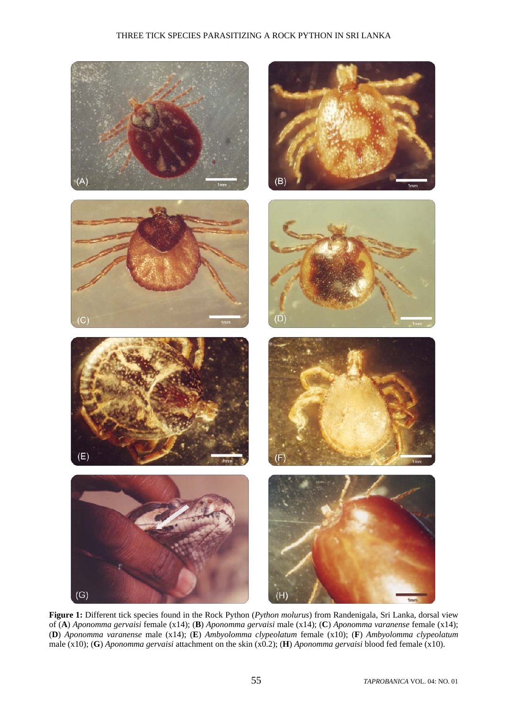## THREE TICK SPECIES PARASITIZING A ROCK PYTHON IN SRI LANKA



**Figure 1:** Different tick species found in the Rock Python (*Python molurus*) from Randenigala, Sri Lanka, dorsal view of (**A**) *Aponomma gervaisi* female (x14); (**B**) *Aponomma gervaisi* male (x14); (**C**) *Aponomma varanense* female (x14); (**D**) *Aponomma varanense* male (x14); (**E**) *Ambyolomma clypeolatum* female (x10); (**F**) *Ambyolomma clypeolatum* male (x10); (**G**) *Aponomma gervaisi* attachment on the skin (x0.2); (**H**) *Aponomma gervaisi* blood fed female (x10).